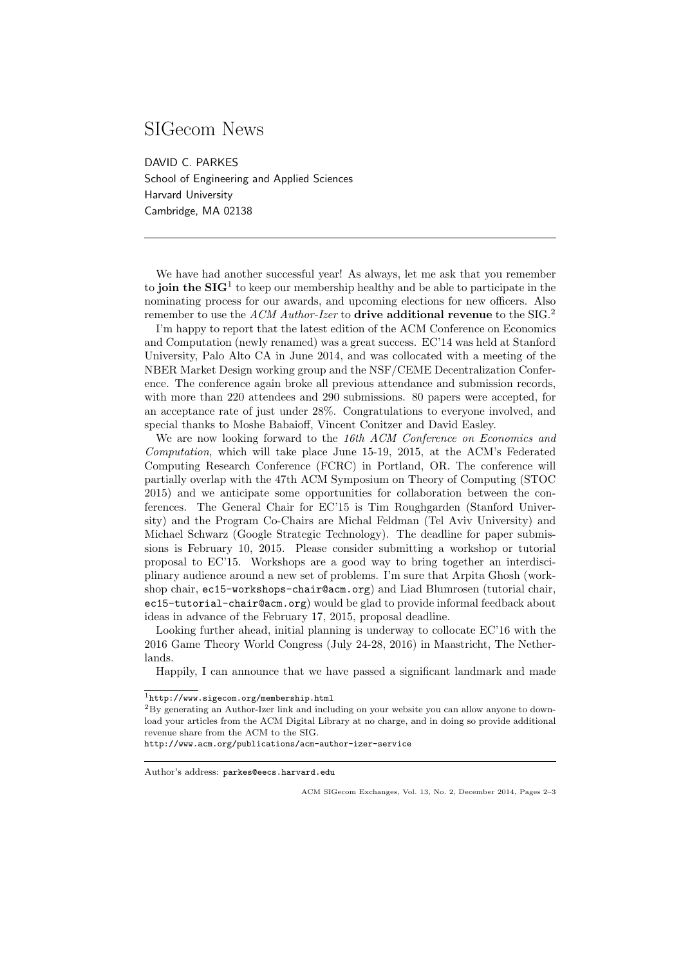## SIGecom News

DAVID C. PARKES School of Engineering and Applied Sciences Harvard University Cambridge, MA 02138

We have had another successful year! As always, let me ask that you remember to **join the SIG**<sup>1</sup> to keep our membership healthy and be able to participate in the nominating process for our awards, and upcoming elections for new officers. Also remember to use the ACM Author-Izer to drive additional revenue to the SIG.<sup>2</sup>

I'm happy to report that the latest edition of the ACM Conference on Economics and Computation (newly renamed) was a great success. EC'14 was held at Stanford University, Palo Alto CA in June 2014, and was collocated with a meeting of the NBER Market Design working group and the NSF/CEME Decentralization Conference. The conference again broke all previous attendance and submission records, with more than 220 attendees and 290 submissions. 80 papers were accepted, for an acceptance rate of just under 28%. Congratulations to everyone involved, and special thanks to Moshe Babaioff, Vincent Conitzer and David Easley.

We are now looking forward to the 16th ACM Conference on Economics and Computation, which will take place June 15-19, 2015, at the ACM's Federated Computing Research Conference (FCRC) in Portland, OR. The conference will partially overlap with the 47th ACM Symposium on Theory of Computing (STOC 2015) and we anticipate some opportunities for collaboration between the conferences. The General Chair for EC'15 is Tim Roughgarden (Stanford University) and the Program Co-Chairs are Michal Feldman (Tel Aviv University) and Michael Schwarz (Google Strategic Technology). The deadline for paper submissions is February 10, 2015. Please consider submitting a workshop or tutorial proposal to EC'15. Workshops are a good way to bring together an interdisciplinary audience around a new set of problems. I'm sure that Arpita Ghosh (workshop chair, ec15-workshops-chair@acm.org) and Liad Blumrosen (tutorial chair, ec15-tutorial-chair@acm.org) would be glad to provide informal feedback about ideas in advance of the February 17, 2015, proposal deadline.

Looking further ahead, initial planning is underway to collocate EC'16 with the 2016 Game Theory World Congress (July 24-28, 2016) in Maastricht, The Netherlands.

Happily, I can announce that we have passed a significant landmark and made

http://www.acm.org/publications/acm-author-izer-service

ACM SIGecom Exchanges, Vol. 13, No. 2, December 2014, Pages 2–3

<sup>1</sup>http://www.sigecom.org/membership.html

<sup>2</sup>By generating an Author-Izer link and including on your website you can allow anyone to download your articles from the ACM Digital Library at no charge, and in doing so provide additional revenue share from the ACM to the SIG.

Author's address: parkes@eecs.harvard.edu